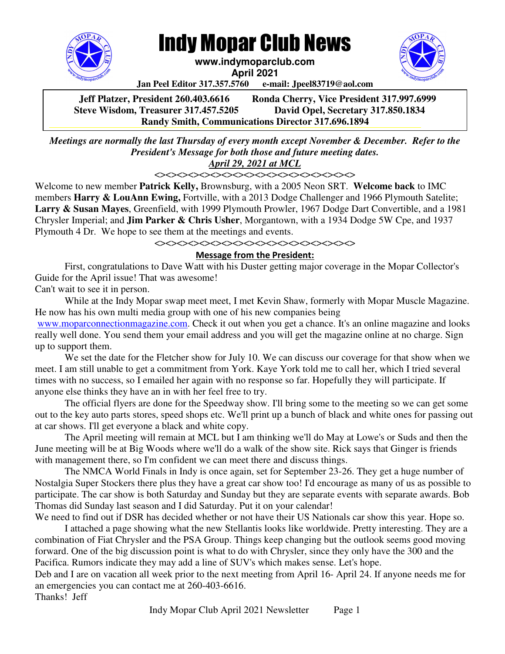

# Indy Mopar Club News

**www.indymoparclub.com** 

**April 2021** 

**Jan Peel Editor 317.357.5760 e-mail: Jpeel83719@aol.com**

**Jeff Platzer, President 260.403.6616 Ronda Cherry, Vice President 317.997.6999 Steve Wisdom, Treasurer 317.457.5205 David Opel, Secretary 317.850.1834 Randy Smith, Communications Director 317.696.1894** 

*Meetings are normally the last Thursday of every month except November & December. Refer to the President's Message for both those and future meeting dates.*  **Steve Wisdom, Treasurer 317.457.5205 Dave Opel, Secretary 317.850.1834**

### *April 29, 2021 at MCL*

<><><><><><><><><><><><><><><><><><>

Welcome to new member **Patrick Kelly,** Brownsburg, with a 2005 Neon SRT. **Welcome back** to IMC members **Harry & LouAnn Ewing,** Fortville, with a 2013 Dodge Challenger and 1966 Plymouth Satelite; **Larry & Susan Mayes**, Greenfield, with 1999 Plymouth Prowler, 1967 Dodge Dart Convertible, and a 1981 Chrysler Imperial; and **Jim Parker & Chris Usher**, Morgantown, with a 1934 Dodge 5W Cpe, and 1937 Plymouth 4 Dr. We hope to see them at the meetings and events.

<><><><><><><><><><><><><><><><><><>

#### Message from the President:

First, congratulations to Dave Watt with his Duster getting major coverage in the Mopar Collector's Guide for the April issue! That was awesome! Can't wait to see it in person.

While at the Indy Mopar swap meet meet, I met Kevin Shaw, formerly with Mopar Muscle Magazine. He now has his own multi media group with one of his new companies being

www.moparconnectionmagazine.com. Check it out when you get a chance. It's an online magazine and looks really well done. You send them your email address and you will get the magazine online at no charge. Sign up to support them.

We set the date for the Fletcher show for July 10. We can discuss our coverage for that show when we meet. I am still unable to get a commitment from York. Kaye York told me to call her, which I tried several times with no success, so I emailed her again with no response so far. Hopefully they will participate. If anyone else thinks they have an in with her feel free to try.

The official flyers are done for the Speedway show. I'll bring some to the meeting so we can get some out to the key auto parts stores, speed shops etc. We'll print up a bunch of black and white ones for passing out at car shows. I'll get everyone a black and white copy.

The April meeting will remain at MCL but I am thinking we'll do May at Lowe's or Suds and then the June meeting will be at Big Woods where we'll do a walk of the show site. Rick says that Ginger is friends with management there, so I'm confident we can meet there and discuss things.

The NMCA World Finals in Indy is once again, set for September 23-26. They get a huge number of Nostalgia Super Stockers there plus they have a great car show too! I'd encourage as many of us as possible to participate. The car show is both Saturday and Sunday but they are separate events with separate awards. Bob Thomas did Sunday last season and I did Saturday. Put it on your calendar!

We need to find out if DSR has decided whether or not have their US Nationals car show this year. Hope so. I attached a page showing what the new Stellantis looks like worldwide. Pretty interesting. They are a combination of Fiat Chrysler and the PSA Group. Things keep changing but the outlook seems good moving forward. One of the big discussion point is what to do with Chrysler, since they only have the 300 and the Pacifica. Rumors indicate they may add a line of SUV's which makes sense. Let's hope.

Deb and I are on vacation all week prior to the next meeting from April 16- April 24. If anyone needs me for an emergencies you can contact me at 260-403-6616.

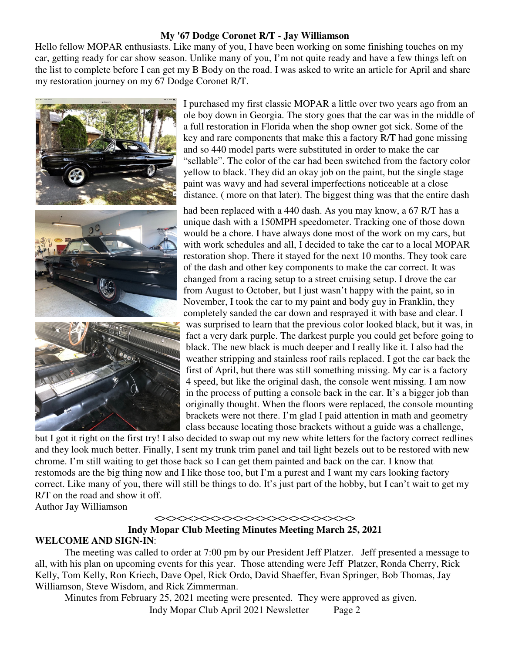#### **My '67 Dodge Coronet R/T - Jay Williamson**

Hello fellow MOPAR enthusiasts. Like many of you, I have been working on some finishing touches on my car, getting ready for car show season. Unlike many of you, I'm not quite ready and have a few things left on the list to complete before I can get my B Body on the road. I was asked to write an article for April and share my restoration journey on my 67 Dodge Coronet R/T.



I purchased my first classic MOPAR a little over two years ago from an ole boy down in Georgia. The story goes that the car was in the middle of a full restoration in Florida when the shop owner got sick. Some of the key and rare components that make this a factory R/T had gone missing and so 440 model parts were substituted in order to make the car "sellable". The color of the car had been switched from the factory color yellow to black. They did an okay job on the paint, but the single stage paint was wavy and had several imperfections noticeable at a close distance. ( more on that later). The biggest thing was that the entire dash

had been replaced with a 440 dash. As you may know, a 67 R/T has a unique dash with a 150MPH speedometer. Tracking one of those down would be a chore. I have always done most of the work on my cars, but with work schedules and all, I decided to take the car to a local MOPAR restoration shop. There it stayed for the next 10 months. They took care of the dash and other key components to make the car correct. It was changed from a racing setup to a street cruising setup. I drove the car from August to October, but I just wasn't happy with the paint, so in November, I took the car to my paint and body guy in Franklin, they completely sanded the car down and resprayed it with base and clear. I was surprised to learn that the previous color looked black, but it was, in fact a very dark purple. The darkest purple you could get before going to black. The new black is much deeper and I really like it. I also had the weather stripping and stainless roof rails replaced. I got the car back the first of April, but there was still something missing. My car is a factory 4 speed, but like the original dash, the console went missing. I am now in the process of putting a console back in the car. It's a bigger job than originally thought. When the floors were replaced, the console mounting brackets were not there. I'm glad I paid attention in math and geometry class because locating those brackets without a guide was a challenge,

but I got it right on the first try! I also decided to swap out my new white letters for the factory correct redlines and they look much better. Finally, I sent my trunk trim panel and tail light bezels out to be restored with new chrome. I'm still waiting to get those back so I can get them painted and back on the car. I know that restomods are the big thing now and I like those too, but I'm a purest and I want my cars looking factory correct. Like many of you, there will still be things to do. It's just part of the hobby, but I can't wait to get my R/T on the road and show it off.

Author Jay Williamson

#### <><><><><><><><><><><><><><><><><><>

#### **Indy Mopar Club Meeting Minutes Meeting March 25, 2021 WELCOME AND SIGN-IN**:

The meeting was called to order at 7:00 pm by our President Jeff Platzer. Jeff presented a message to all, with his plan on upcoming events for this year. Those attending were Jeff Platzer, Ronda Cherry, Rick Kelly, Tom Kelly, Ron Kriech, Dave Opel, Rick Ordo, David Shaeffer, Evan Springer, Bob Thomas, Jay Williamson, Steve Wisdom, and Rick Zimmerman.

Indy Mopar Club April 2021 Newsletter Page 2 Minutes from February 25, 2021 meeting were presented. They were approved as given.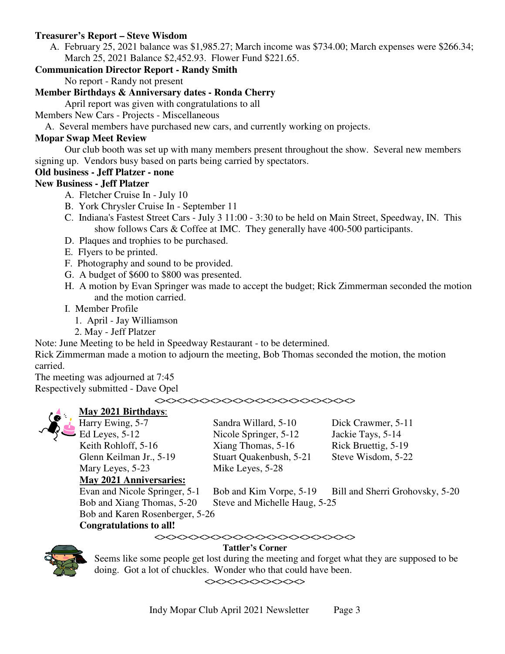#### **Treasurer's Report – Steve Wisdom**

A. February 25, 2021 balance was \$1,985.27; March income was \$734.00; March expenses were \$266.34; March 25, 2021 Balance \$2,452.93. Flower Fund \$221.65.

#### **Communication Director Report - Randy Smith**

No report - Randy not present

#### **Member Birthdays & Anniversary dates - Ronda Cherry**

April report was given with congratulations to all

Members New Cars - Projects - Miscellaneous

A. Several members have purchased new cars, and currently working on projects.

#### **Mopar Swap Meet Review**

Our club booth was set up with many members present throughout the show. Several new members signing up. Vendors busy based on parts being carried by spectators.

#### **Old business - Jeff Platzer - none**

#### **New Business - Jeff Platzer**

- A. Fletcher Cruise In July 10
- B. York Chrysler Cruise In September 11
- C. Indiana's Fastest Street Cars July 3 11:00 3:30 to be held on Main Street, Speedway, IN. This show follows Cars & Coffee at IMC. They generally have 400-500 participants.
- D. Plaques and trophies to be purchased.
- E. Flyers to be printed.
- F. Photography and sound to be provided.
- G. A budget of \$600 to \$800 was presented.
- H. A motion by Evan Springer was made to accept the budget; Rick Zimmerman seconded the motion and the motion carried.
- I. Member Profile
	- 1. April Jay Williamson
	- 2. May Jeff Platzer

Note: June Meeting to be held in Speedway Restaurant - to be determined.

Rick Zimmerman made a motion to adjourn the meeting, Bob Thomas seconded the motion, the motion carried.

The meeting was adjourned at 7:45 Respectively submitted - Dave Opel

<><><><><><><><><><><><><><><><><><>



## **May 2021 Birthdays**:

Mary Leyes, 5-23 Mike Leyes, 5-28

Sandra Willard, 5-10 Dick Crawmer, 5-11 Ed Leyes, 5-12 Nicole Springer, 5-12 Jackie Tays, 5-14 Keith Rohloff, 5-16 Xiang Thomas, 5-16 Rick Bruettig, 5-19 Glenn Keilman Jr., 5-19 Stuart Quakenbush, 5-21 Steve Wisdom, 5-22

**May 2021 Anniversaries:**

Bob and Xiang Thomas, 5-20 Steve and Michelle Haug, 5-25

Evan and Nicole Springer, 5-1 Bob and Kim Vorpe, 5-19 Bill and Sherri Grohovsky, 5-20

Bob and Karen Rosenberger, 5-26

#### **Congratulations to all!**

#### <><><><><><><><><><><><><><><><><><> **Tattler's Corner**



Seems like some people get lost during the meeting and forget what they are supposed to be doing. Got a lot of chuckles. Wonder who that could have been.

 $<\!\!\cdot\!\!><\!\!\cdot\!\!><\!\!\cdot\!\!><\!\!\cdot\!\!><\!\!\cdot\!\!>\!\!<\!\!\cdot\!\!><\!\!\cdot\!\!><\!\!\cdot\!\!><\!\!\cdot\!\!><\!\!\cdot\!\!>$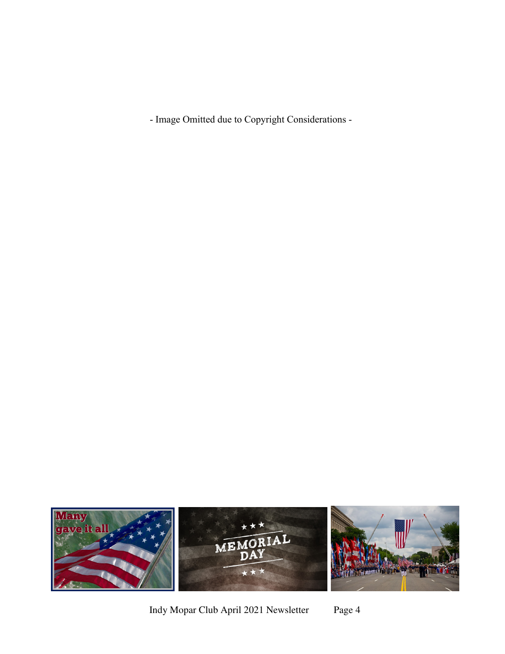- Image Omitted due to Copyright Considerations -



Indy Mopar Club April 2021 Newsletter Page 4